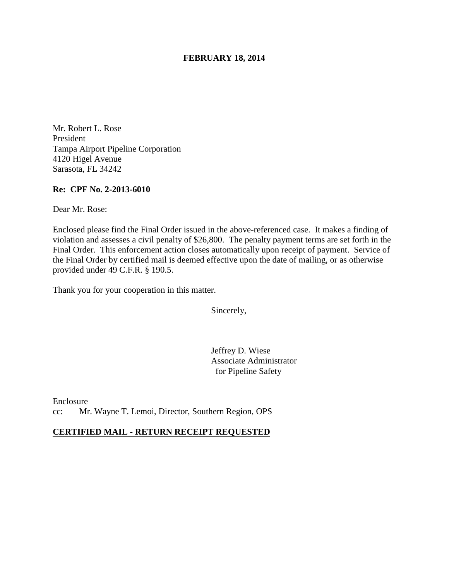### **FEBRUARY 18, 2014**

Mr. Robert L. Rose President Tampa Airport Pipeline Corporation 4120 Higel Avenue Sarasota, FL 34242

#### **Re: CPF No. 2-2013-6010**

Dear Mr. Rose:

Enclosed please find the Final Order issued in the above-referenced case. It makes a finding of violation and assesses a civil penalty of \$26,800. The penalty payment terms are set forth in the Final Order. This enforcement action closes automatically upon receipt of payment. Service of the Final Order by certified mail is deemed effective upon the date of mailing, or as otherwise provided under 49 C.F.R. § 190.5.

Thank you for your cooperation in this matter.

Sincerely,

Jeffrey D. Wiese Associate Administrator for Pipeline Safety

Enclosure cc: Mr. Wayne T. Lemoi, Director, Southern Region, OPS

### **CERTIFIED MAIL - RETURN RECEIPT REQUESTED**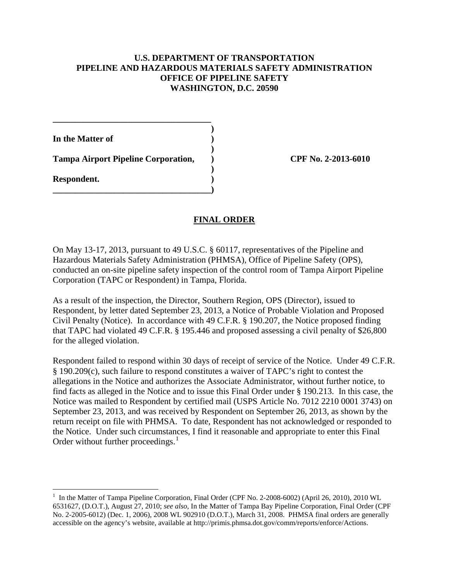# **U.S. DEPARTMENT OF TRANSPORTATION PIPELINE AND HAZARDOUS MATERIALS SAFETY ADMINISTRATION OFFICE OF PIPELINE SAFETY WASHINGTON, D.C. 20590**

 **) In the Matter of ) )** 

**Tampa Airport Pipeline Corporation, ) CPF No. 2-2013-6010** 

**\_\_\_\_\_\_\_\_\_\_\_\_\_\_\_\_\_\_\_\_\_\_\_\_\_\_\_\_\_\_\_\_\_\_\_\_)** 

**\_\_\_\_\_\_\_\_\_\_\_\_\_\_\_\_\_\_\_\_\_\_\_\_\_\_\_\_\_\_\_\_\_\_\_\_** 

 **) Respondent. )** 

 $\overline{a}$ 

# **FINAL ORDER**

On May 13-17, 2013, pursuant to 49 U.S.C. § 60117, representatives of the Pipeline and Hazardous Materials Safety Administration (PHMSA), Office of Pipeline Safety (OPS), conducted an on-site pipeline safety inspection of the control room of Tampa Airport Pipeline Corporation (TAPC or Respondent) in Tampa, Florida.

As a result of the inspection, the Director, Southern Region, OPS (Director), issued to Respondent, by letter dated September 23, 2013, a Notice of Probable Violation and Proposed Civil Penalty (Notice). In accordance with 49 C.F.R. § 190.207, the Notice proposed finding that TAPC had violated 49 C.F.R. § 195.446 and proposed assessing a civil penalty of \$26,800 for the alleged violation.

Respondent failed to respond within 30 days of receipt of service of the Notice. Under 49 C.F.R. § 190.209(c), such failure to respond constitutes a waiver of TAPC's right to contest the allegations in the Notice and authorizes the Associate Administrator, without further notice, to find facts as alleged in the Notice and to issue this Final Order under § 190.213. In this case, the Notice was mailed to Respondent by certified mail (USPS Article No. 7012 2210 0001 3743) on September 23, 2013, and was received by Respondent on September 26, 2013, as shown by the return receipt on file with PHMSA. To date, Respondent has not acknowledged or responded to the Notice. Under such circumstances, I find it reasonable and appropriate to enter this Final Order without further proceedings. $<sup>1</sup>$ </sup>

<sup>&</sup>lt;sup>1</sup> In the Matter of Tampa Pipeline Corporation, Final Order (CPF No. 2-2008-6002) (April 26, 2010), 2010 WL 6531627, (D.O.T.), August 27, 2010; *see also*, In the Matter of Tampa Bay Pipeline Corporation, Final Order (CPF No. 2-2005-6012) (Dec. 1, 2006), 2008 WL 902910 (D.O.T.), March 31, 2008. PHMSA final orders are generally accessible on the agency's website, available at http://primis.phmsa.dot.gov/comm/reports/enforce/Actions.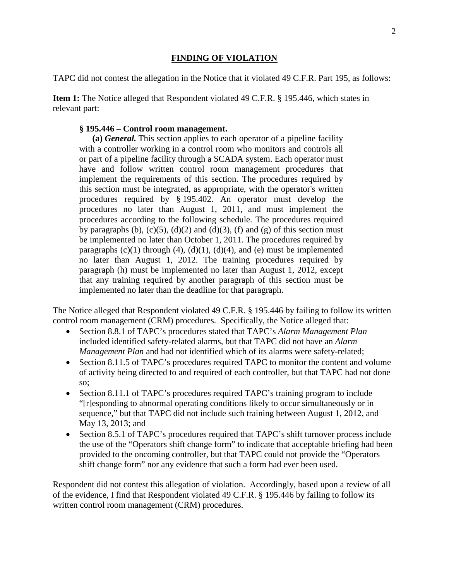# **FINDING OF VIOLATION**

TAPC did not contest the allegation in the Notice that it violated 49 C.F.R. Part 195, as follows:

**Item 1:** The Notice alleged that Respondent violated 49 C.F.R. § 195.446, which states in relevant part:

# **§ 195.446 – Control room management.**

**(a)** *General.* This section applies to each operator of a pipeline facility with a controller working in a control room who monitors and controls all or part of a pipeline facility through a SCADA system. Each operator must have and follow written control room management procedures that implement the requirements of this section. The procedures required by this section must be integrated, as appropriate, with the operator's written procedures required by § 195.402. An operator must develop the procedures no later than August 1, 2011, and must implement the procedures according to the following schedule. The procedures required by paragraphs (b),  $(c)(5)$ ,  $(d)(2)$  and  $(d)(3)$ ,  $(f)$  and  $(g)$  of this section must be implemented no later than October 1, 2011. The procedures required by paragraphs  $(c)(1)$  through  $(4)$ ,  $(d)(1)$ ,  $(d)(4)$ , and  $(e)$  must be implemented no later than August 1, 2012. The training procedures required by paragraph (h) must be implemented no later than August 1, 2012, except that any training required by another paragraph of this section must be implemented no later than the deadline for that paragraph.

The Notice alleged that Respondent violated 49 C.F.R. § 195.446 by failing to follow its written control room management (CRM) procedures. Specifically, the Notice alleged that:

- Section 8.8.1 of TAPC's procedures stated that TAPC's *Alarm Management Plan* included identified safety-related alarms, but that TAPC did not have an *Alarm Management Plan* and had not identified which of its alarms were safety-related;
- Section 8.11.5 of TAPC's procedures required TAPC to monitor the content and volume of activity being directed to and required of each controller, but that TAPC had not done so;
- Section 8.11.1 of TAPC's procedures required TAPC's training program to include "[r]esponding to abnormal operating conditions likely to occur simultaneously or in sequence," but that TAPC did not include such training between August 1, 2012, and May 13, 2013; and
- Section 8.5.1 of TAPC's procedures required that TAPC's shift turnover process include the use of the "Operators shift change form" to indicate that acceptable briefing had been provided to the oncoming controller, but that TAPC could not provide the "Operators shift change form" nor any evidence that such a form had ever been used.

Respondent did not contest this allegation of violation. Accordingly, based upon a review of all of the evidence, I find that Respondent violated 49 C.F.R. § 195.446 by failing to follow its written control room management (CRM) procedures.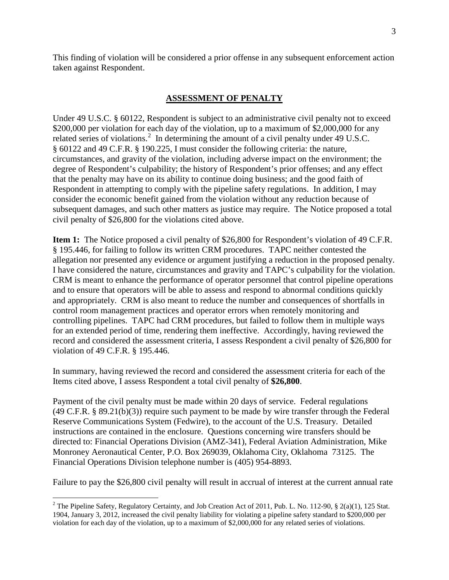This finding of violation will be considered a prior offense in any subsequent enforcement action taken against Respondent.

# **ASSESSMENT OF PENALTY**

Under 49 U.S.C. § 60122, Respondent is subject to an administrative civil penalty not to exceed \$200,000 per violation for each day of the violation, up to a maximum of \$2,000,000 for any related series of violations.<sup>2</sup> In determining the amount of a civil penalty under 49 U.S.C. § 60122 and 49 C.F.R. § 190.225, I must consider the following criteria: the nature, circumstances, and gravity of the violation, including adverse impact on the environment; the degree of Respondent's culpability; the history of Respondent's prior offenses; and any effect that the penalty may have on its ability to continue doing business; and the good faith of Respondent in attempting to comply with the pipeline safety regulations. In addition, I may consider the economic benefit gained from the violation without any reduction because of subsequent damages, and such other matters as justice may require. The Notice proposed a total civil penalty of \$26,800 for the violations cited above.

**Item 1:** The Notice proposed a civil penalty of \$26,800 for Respondent's violation of 49 C.F.R. § 195.446, for failing to follow its written CRM procedures. TAPC neither contested the allegation nor presented any evidence or argument justifying a reduction in the proposed penalty. I have considered the nature, circumstances and gravity and TAPC's culpability for the violation. CRM is meant to enhance the performance of operator personnel that control pipeline operations and to ensure that operators will be able to assess and respond to abnormal conditions quickly and appropriately. CRM is also meant to reduce the number and consequences of shortfalls in control room management practices and operator errors when remotely monitoring and controlling pipelines. TAPC had CRM procedures, but failed to follow them in multiple ways for an extended period of time, rendering them ineffective. Accordingly, having reviewed the record and considered the assessment criteria, I assess Respondent a civil penalty of \$26,800 for violation of 49 C.F.R. § 195.446.

In summary, having reviewed the record and considered the assessment criteria for each of the Items cited above, I assess Respondent a total civil penalty of **\$26,800**.

Payment of the civil penalty must be made within 20 days of service. Federal regulations (49 C.F.R. § 89.21(b)(3)) require such payment to be made by wire transfer through the Federal Reserve Communications System (Fedwire), to the account of the U.S. Treasury. Detailed instructions are contained in the enclosure. Questions concerning wire transfers should be directed to: Financial Operations Division (AMZ-341), Federal Aviation Administration, Mike Monroney Aeronautical Center, P.O. Box 269039, Oklahoma City, Oklahoma 73125. The Financial Operations Division telephone number is (405) 954-8893.

Failure to pay the \$26,800 civil penalty will result in accrual of interest at the current annual rate

 $\overline{a}$ <sup>2</sup> The Pipeline Safety, Regulatory Certainty, and Job Creation Act of 2011, Pub. L. No. 112-90, § 2(a)(1), 125 Stat. 1904, January 3, 2012, increased the civil penalty liability for violating a pipeline safety standard to \$200,000 per violation for each day of the violation, up to a maximum of \$2,000,000 for any related series of violations.